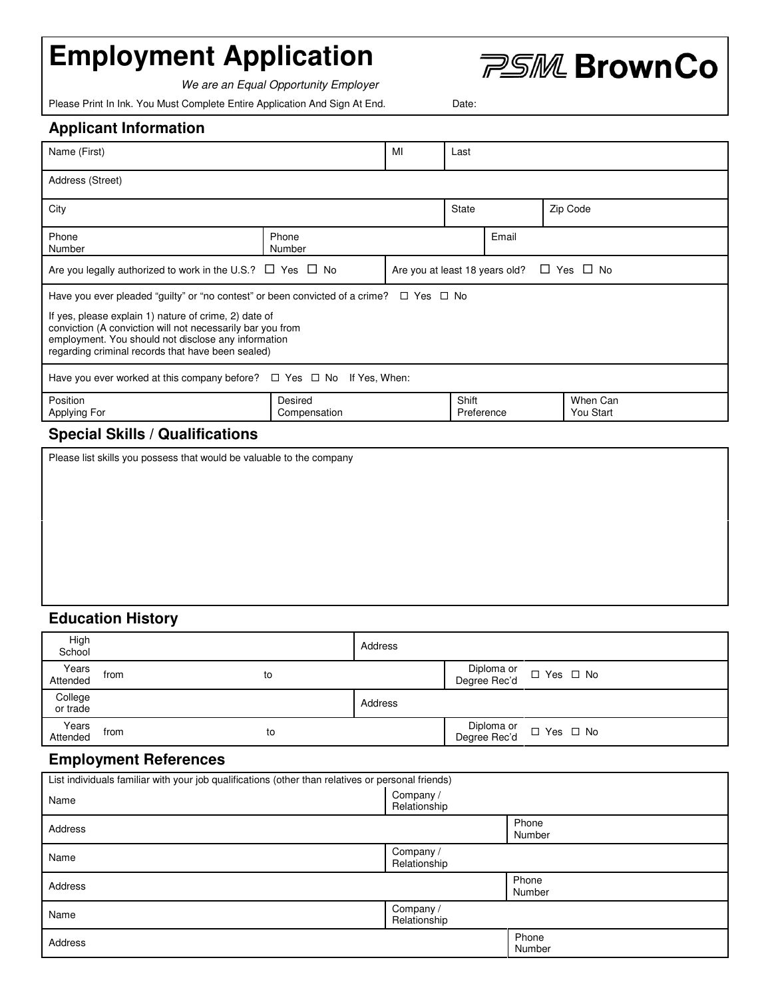# **Employment Application**

We are an Equal Opportunity Employer

Please Print In Ink. You Must Complete Entire Application And Sign At End. Date:

| <b>Applicant Information</b> |  |
|------------------------------|--|
|------------------------------|--|

| Name (First)                                                                                                                                                                                                                                                                                                               |                         | MI | Last                                      |       |          |                       |
|----------------------------------------------------------------------------------------------------------------------------------------------------------------------------------------------------------------------------------------------------------------------------------------------------------------------------|-------------------------|----|-------------------------------------------|-------|----------|-----------------------|
| Address (Street)                                                                                                                                                                                                                                                                                                           |                         |    |                                           |       |          |                       |
| City                                                                                                                                                                                                                                                                                                                       |                         |    | <b>State</b>                              |       | Zip Code |                       |
| Phone<br>Number                                                                                                                                                                                                                                                                                                            | Phone<br>Number         |    |                                           | Email |          |                       |
| Are you legally authorized to work in the U.S.? ■ Yes ■ No                                                                                                                                                                                                                                                                 |                         |    | Are you at least 18 years old? ■ Yes ■ No |       |          |                       |
| Have you ever pleaded "guilty" or "no contest" or been convicted of a crime? Ø Yes Ø No<br>If yes, please explain 1) nature of crime, 2) date of<br>conviction (A conviction will not necessarily bar you from<br>employment. You should not disclose any information<br>regarding criminal records that have been sealed) |                         |    |                                           |       |          |                       |
| Have you ever worked at this company before? $\boxtimes$ Yes $\boxtimes$ No If Yes, When:                                                                                                                                                                                                                                  |                         |    |                                           |       |          |                       |
| Position<br>Applying For                                                                                                                                                                                                                                                                                                   | Desired<br>Compensation |    | Shift<br>Preference                       |       |          | When Can<br>You Start |
| $\sim$ $\sim$ $\sim$ $\sim$<br>                                                                                                                                                                                                                                                                                            |                         |    |                                           |       |          |                       |

#### **Special Skills / Qualifications**

Please list skills you possess that would be valuable to the company

## **Education History**

| High<br>School      |      |    | Address |                                        |
|---------------------|------|----|---------|----------------------------------------|
| Years<br>Attended   | from | to |         | Diploma or Z Yes Z No                  |
| College<br>or trade |      |    | Address |                                        |
| Years<br>Attended   | from | to |         | Diploma or MY Yes M No<br>Degree Rec'd |

### **Employment References**

| List individuals familiar with your job qualifications (other than relatives or personal friends) |                           |                 |  |
|---------------------------------------------------------------------------------------------------|---------------------------|-----------------|--|
| Name                                                                                              | Company /<br>Relationship |                 |  |
| Address                                                                                           |                           | Phone<br>Number |  |
| Name                                                                                              | Company /<br>Relationship |                 |  |
| Address                                                                                           |                           | Phone<br>Number |  |
| Name                                                                                              | Company /<br>Relationship |                 |  |
| Address                                                                                           |                           | Phone<br>Number |  |

**PSM BrownCo**